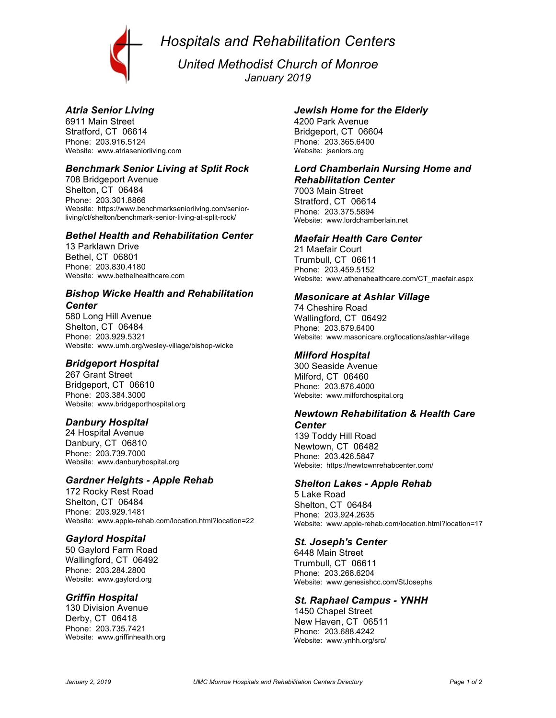*Hospitals and Rehabilitation Centers*



*United Methodist Church of Monroe January 2019*

## *Atria Senior Living*

6911 Main Street Stratford, CT 06614 Phone: 203.916.5124 Website: www.atriaseniorliving.com

#### *Benchmark Senior Living at Split Rock*

708 Bridgeport Avenue Shelton, CT 06484 Phone: 203.301.8866 Website: https://www.benchmarkseniorliving.com/seniorliving/ct/shelton/benchmark-senior-living-at-split-rock/

### *Bethel Health and Rehabilitation Center*

13 Parklawn Drive Bethel, CT 06801 Phone: 203.830.4180 Website: www.bethelhealthcare.com

#### *Bishop Wicke Health and Rehabilitation Center*

580 Long Hill Avenue Shelton, CT 06484 Phone: 203.929.5321 Website: www.umh.org/wesley-village/bishop-wicke

## *Bridgeport Hospital*

267 Grant Street Bridgeport, CT 06610 Phone: 203.384.3000 Website: www.bridgeporthospital.org

## *Danbury Hospital*

24 Hospital Avenue Danbury, CT 06810 Phone: 203.739.7000 Website: www.danburyhospital.org

#### *Gardner Heights - Apple Rehab*

172 Rocky Rest Road Shelton, CT 06484 Phone: 203.929.1481 Website: www.apple-rehab.com/location.html?location=22

#### *Gaylord Hospital*

50 Gaylord Farm Road Wallingford, CT 06492 Phone: 203.284.2800 Website: www.gaylord.org

#### *Griffin Hospital*

130 Division Avenue Derby, CT 06418 Phone: 203.735.7421 Website: www.griffinhealth.org

#### *Jewish Home for the Elderly*

4200 Park Avenue Bridgeport, CT 06604 Phone: 203.365.6400 Website: jseniors.org

## *Lord Chamberlain Nursing Home and Rehabilitation Center*

7003 Main Street Stratford, CT 06614 Phone: 203.375.5894 Website: www.lordchamberlain.net

#### *Maefair Health Care Center*

21 Maefair Court Trumbull, CT 06611 Phone: 203.459.5152 Website: www.athenahealthcare.com/CT\_maefair.aspx

## *Masonicare at Ashlar Village*

74 Cheshire Road Wallingford, CT 06492 Phone: 203.679.6400 Website: www.masonicare.org/locations/ashlar-village

## *Milford Hospital*

300 Seaside Avenue Milford, CT 06460 Phone: 203.876.4000 Website: www.milfordhospital.org

# *Newtown Rehabilitation & Health Care*

*Center* 139 Toddy Hill Road Newtown, CT 06482 Phone: 203.426.5847 Website: https://newtownrehabcenter.com/

## *Shelton Lakes - Apple Rehab*

5 Lake Road Shelton, CT 06484 Phone: 203.924.2635 Website: www.apple-rehab.com/location.html?location=17

#### *St. Joseph's Center*

6448 Main Street Trumbull, CT 06611 Phone: 203.268.6204 Website: www.genesishcc.com/StJosephs

## *St. Raphael Campus - YNHH*

1450 Chapel Street New Haven, CT 06511 Phone: 203.688.4242 Website: www.ynhh.org/src/